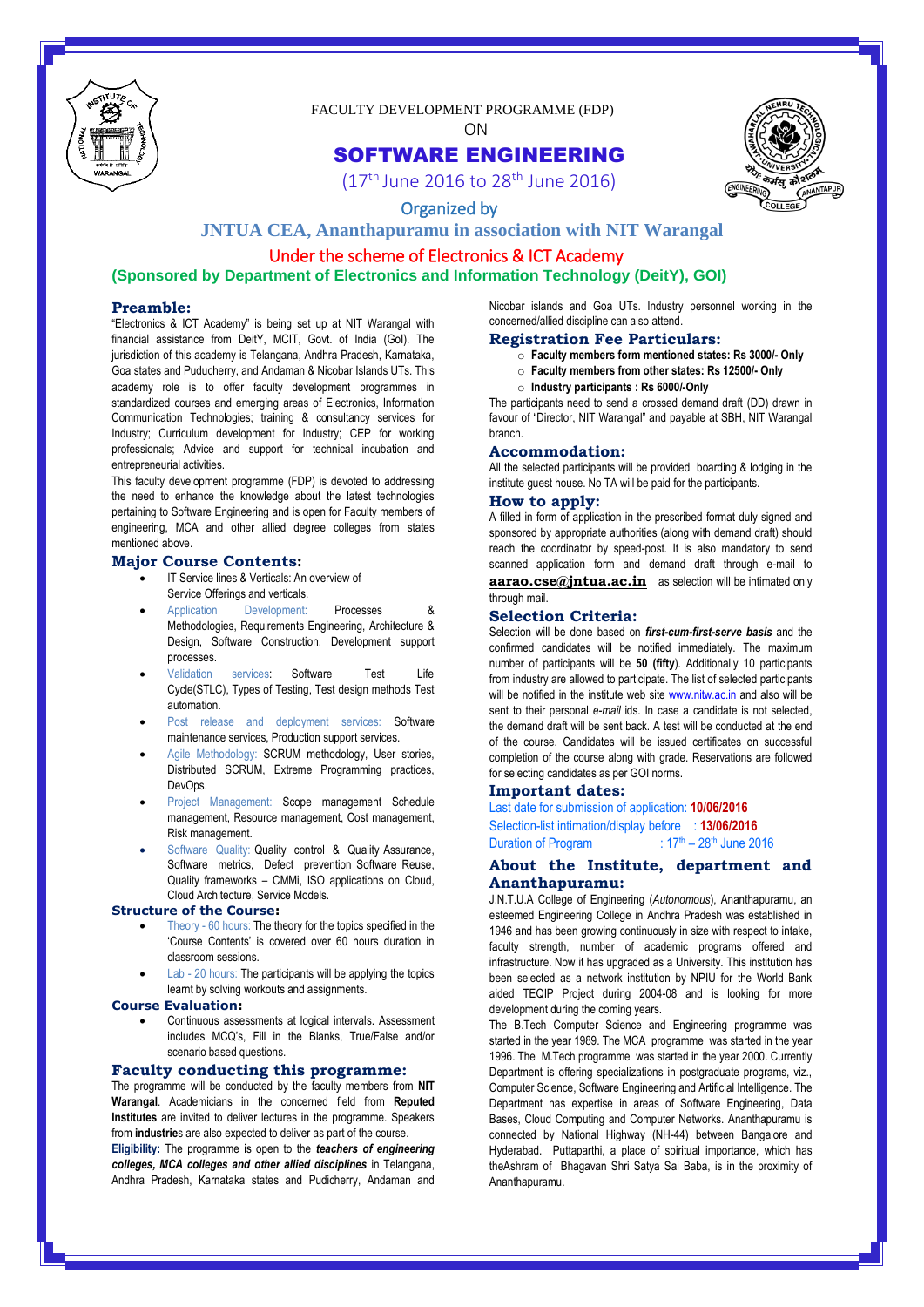

FACULTY DEVELOPMENT PROGRAMME (FDP)

ON

### SOFTWARE ENGINEERING



 $(17<sup>th</sup>)$  June 2016 to 28<sup>th</sup> June 2016)

### Organized by

### **JNTUA CEA, Ananthapuramu in association with NIT Warangal**

# Under the scheme of Electronics & ICT Academy

## **(Sponsored by Department of Electronics and Information Technology (DeitY), GOI)**

#### **Preamble:**

"Electronics & ICT Academy" is being set up at NIT Warangal with financial assistance from DeitY, MCIT, Govt. of India (GoI). The jurisdiction of this academy is Telangana, Andhra Pradesh, Karnataka, Goa states and Puducherry, and Andaman & Nicobar Islands UTs. This academy role is to offer faculty development programmes in standardized courses and emerging areas of Electronics, Information Communication Technologies; training & consultancy services for Industry; Curriculum development for Industry; CEP for working professionals; Advice and support for technical incubation and entrepreneurial activities.

This faculty development programme (FDP) is devoted to addressing the need to enhance the knowledge about the latest technologies pertaining to Software Engineering and is open for Faculty members of engineering, MCA and other allied degree colleges from states mentioned above.

#### **Major Course Contents:**

- IT Service lines & Verticals: An overview of Service Offerings and verticals.
- Application Development: Processes & Methodologies, Requirements Engineering, Architecture & Design, Software Construction, Development support processes.
- Validation services: Software Test Life Cycle(STLC), Types of Testing, Test design methods Test automation.
- Post release and deployment services: Software maintenance services, Production support services.
- Agile Methodology: SCRUM methodology, User stories, Distributed SCRUM, Extreme Programming practices, DevOps.
- Project Management: Scope management Schedule management, Resource management, Cost management, Risk management.
- Software Quality: Quality control & Quality Assurance, Software metrics, Defect prevention Software Reuse, Quality frameworks – CMMi, ISO applications on Cloud, Cloud Architecture, Service Models.

#### **Structure of the Course:**

- Theory 60 hours: The theory for the topics specified in the "Course Contents" is covered over 60 hours duration in classroom sessions.
- Lab 20 hours: The participants will be applying the topics learnt by solving workouts and assignments.

#### **Course Evaluation:**

 Continuous assessments at logical intervals. Assessment includes MCQ"s, Fill in the Blanks, True/False and/or scenario based questions.

#### **Faculty conducting this programme:**

The programme will be conducted by the faculty members from **NIT Warangal**. Academicians in the concerned field from **Reputed Institutes** are invited to deliver lectures in the programme. Speakers from **industrie**s are also expected to deliver as part of the course. **Eligibility:** The programme is open to the *teachers of engineering colleges, MCA colleges and other allied disciplines* in Telangana, Andhra Pradesh, Karnataka states and Pudicherry, Andaman and

Nicobar islands and Goa UTs. Industry personnel working in the concerned/allied discipline can also attend.

#### **Registration Fee Particulars:**

- o **Faculty members form mentioned states: Rs 3000/- Only**
- o **Faculty members from other states: Rs 12500/- Only**
- o **Industry participants : Rs 6000/-Only**

The participants need to send a crossed demand draft (DD) drawn in favour of "Director, NIT Warangal" and payable at SBH, NIT Warangal branch.

#### **Accommodation:**

All the selected participants will be provided boarding & lodging in the institute guest house. No TA will be paid for the participants.

#### **How to apply:**

A filled in form of application in the prescribed format duly signed and sponsored by appropriate authorities (along with demand draft) should reach the coordinator by speed-post. It is also mandatory to send scanned application form and demand draft through e-mail to **aarao.cse@jntua.ac.in** as selection will be intimated only through mail.

#### **Selection Criteria:**

Selection will be done based on *first-cum-first-serve basis* and the confirmed candidates will be notified immediately. The maximum number of participants will be **50 (fifty**). Additionally 10 participants from industry are allowed to participate. The list of selected participants will be notified in the institute web site **www.nitw.ac.in** and also will be sent to their personal *e-mail* ids. In case a candidate is not selected, the demand draft will be sent back. A test will be conducted at the end of the course. Candidates will be issued certificates on successful completion of the course along with grade. Reservations are followed for selecting candidates as per GOI norms.

#### **Important dates:**

Last date for submission of application: **10/06/2016** Selection-list intimation/display before : **13/06/2016** Duration of Program :  $17<sup>th</sup> - 28<sup>th</sup>$  June 2016

### **About the Institute, department and Ananthapuramu:**

J.N.T.U.A College of Engineering (*Autonomous*), Ananthapuramu, an esteemed Engineering College in Andhra Pradesh was established in 1946 and has been growing continuously in size with respect to intake, faculty strength, number of academic programs offered and infrastructure. Now it has upgraded as a University. This institution has been selected as a network institution by NPIU for the World Bank aided TEQIP Project during 2004-08 and is looking for more development during the coming years.

The B.Tech Computer Science and Engineering programme was started in the year 1989. The MCA programme was started in the year 1996. The M.Tech programme was started in the year 2000. Currently Department is offering specializations in postgraduate programs, viz., Computer Science, Software Engineering and Artificial Intelligence. The Department has expertise in areas of Software Engineering, Data Bases, Cloud Computing and Computer Networks. Ananthapuramu is connected by National Highway (NH-44) between Bangalore and Hyderabad. Puttaparthi, a place of spiritual importance, which has theAshram of Bhagavan Shri Satya Sai Baba, is in the proximity of Ananthapuramu.